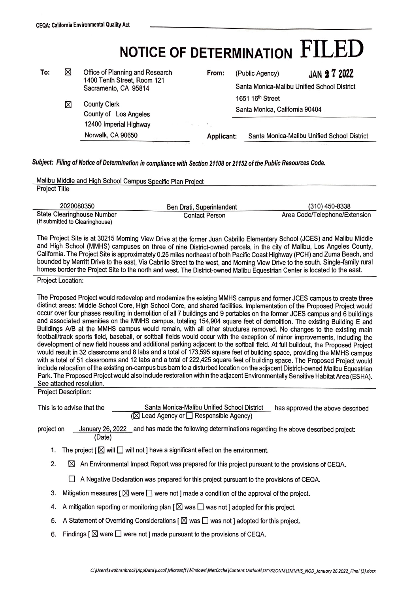| NOTICE OF DETERMINATION $\rm FILED$ |  |
|-------------------------------------|--|
|-------------------------------------|--|

| To: | ⊠ | Office of Planning and Research<br>1400 Tenth Street, Room 121                                 | From:       |                   | (Public Agency)                                                             | <b>JAN 27 2022</b>                          |  |
|-----|---|------------------------------------------------------------------------------------------------|-------------|-------------------|-----------------------------------------------------------------------------|---------------------------------------------|--|
|     |   | Sacramento, CA 95814<br><b>County Clerk</b><br>County of Los Angeles<br>12400 Imperial Highway |             |                   | Santa Monica-Malibu Unified School District<br>1651 16 <sup>th</sup> Street |                                             |  |
|     |   |                                                                                                |             |                   |                                                                             |                                             |  |
|     | ⊠ |                                                                                                |             |                   | Santa Monica, California 90404                                              |                                             |  |
|     |   |                                                                                                | The Control |                   |                                                                             |                                             |  |
|     |   | Norwalk, CA 90650                                                                              |             | <b>Applicant:</b> |                                                                             | Santa Monica-Malibu Unified School District |  |

## *Subject: Filing of Notice of Determination in compliance with Section 21108 or 21152 of the Public Resources Code.*

| Malibu Middle and High School Campus Specific Plan Project |                           |                               |  |  |  |  |  |
|------------------------------------------------------------|---------------------------|-------------------------------|--|--|--|--|--|
| <b>Project Title</b>                                       |                           |                               |  |  |  |  |  |
|                                                            |                           |                               |  |  |  |  |  |
| 2020080350                                                 | Ben Drati, Superintendent | (310) 450-8338                |  |  |  |  |  |
| State Clearinghouse Number                                 | <b>Contact Person</b>     | Area Code/Telephone/Extension |  |  |  |  |  |
| (If submitted to Clearinghouse)                            |                           |                               |  |  |  |  |  |

The Project Site is at 30215 Morning View Drive at the former Juan Cabrillo Elementary School (JCES) and Malibu Middle and High School (MMHS) campuses on three of nine District-owned parcels, in the city of Malibu, Los Angeles County, California. The Project Site is approximately 0.25 miles northeast of both Pacific Coast Highway (PCH) and Zuma Beach, and bounded by Merritt Drive to the east, Via Cabrillo Street to the west, and Morning View Drive to the south. Single-family rural homes border the Project Site to the north and west. The District-owned Malibu Equestrian Center is located to the east.

Project Location:

The Proposed Project would redevelop and modernize the existing MMHS campus and former JCES campus to create three distinct areas: Middle School Core, High School Core, and shared facilities. Implementation of the Proposed Project would occur over four phases resulting in demolition of all 7 buildings and 9 portables on the former JCES campus and 6 buildings and associated amenities on the MMHS campus, totaling 154,904 square feet of demolition. The existing Building E and Buildings A/B at the MMHS campus would remain, with all other structures removed. No changes to the existing main football/track sports field, baseball, or softball fields would occur with the exception of minor improvements, including the development of new field houses and additional parking adjacent to the softball field. At full buildout, the Proposed Project would result in 32 classrooms and 8 labs and a total of 173,595 square feet of building space, providing the MMHS campus with a total of 51 classrooms and 12 labs and a total of 222,425 square feet of building space. The Proposed Project would include relocation of the existing on-campus bus barn to a disturbed location on the adjacent District-owned Malibu Equestrian Park. The Proposed Project would also include restoration within the adjacent Environmentally Sensitive Habitat Area (ESHA). See attached resolution.

Project Description:

| This is to advise that the | Santa Monica-Malibu Unified School District            | has approved the above described |
|----------------------------|--------------------------------------------------------|----------------------------------|
|                            | $(\boxtimes$ Lead Agency or $\Box$ Responsible Agency) |                                  |

project on January 26, 2022 and has made the following determinations regarding the above described project: (Date)

- 1. The project  $[\boxtimes]$  will  $\square$  will not ] have a significant effect on the environment.
- 2.  $\boxtimes$  An Environmental Impact Report was prepared for this project pursuant to the provisions of CEQA.

 $\Box$  A Negative Declaration was prepared for this project pursuant to the provisions of CEQA.

- 3. Mitigation measures  $\lceil \boxtimes \text{ were } \square$  were not ] made a condition of the approval of the project.
- 4. A mitigation reporting or monitoring plan [ $\boxtimes$  was  $\Box$  was not ] adopted for this project.
- 5. A Statement of Overriding Considerations [ $\boxtimes$  was  $\square$  was not ] adopted for this project.
- 6. Findings  $\lbrack \boxtimes$  were  $\Box$  were not ] made pursuant to the provisions of CEQA.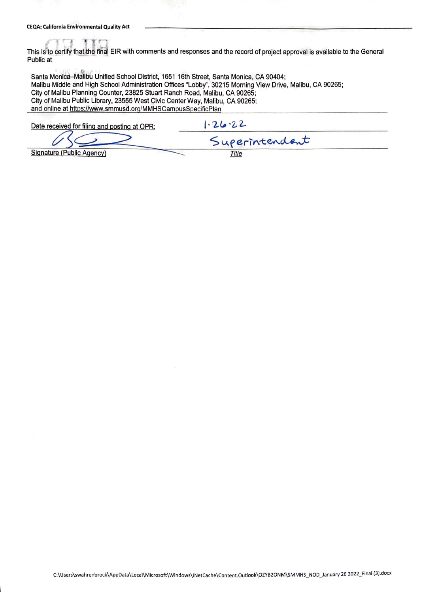¥

This is to certify that the final EIR with comments and responses and the record of project approval is available to the General Public at

Santa Monica-Malibu Unified School District, 1651 16th Street, Santa Monica, CA 90404; Malibu Middle and High School Administration Offices "Lobby", 30215 Morning View Drive, Malibu, CA 90265; City of Malibu Planning Counter, 23825 Stuart Ranch Road, Malibu, CA 90265; City of Malibu Public Library, 23555 West Civic Center Way, Malibu, CA 90265; and online at https://www.smmusd.org/MMHSCampusSpecificPlan

Date received for filing and posting at OPR:

 $1.26.22$ 

Signature (Public Agency)

Superintendent